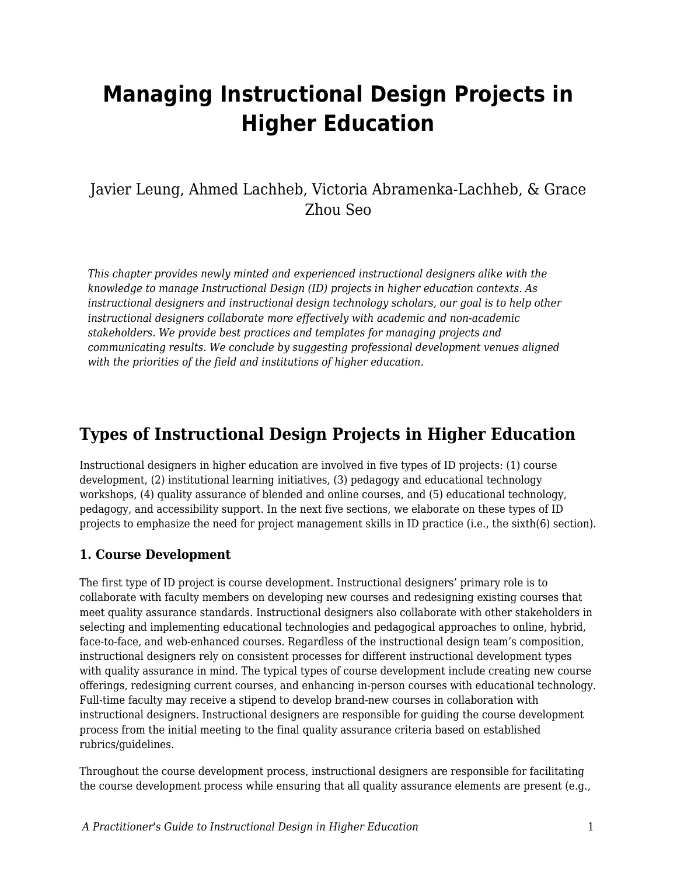# **Managing Instructional Design Projects in Higher Education**

### Javier Leung, Ahmed Lachheb, Victoria Abramenka-Lachheb, & Grace Zhou Seo

*This chapter provides newly minted and experienced instructional designers alike with the knowledge to manage Instructional Design (ID) projects in higher education contexts. As instructional designers and instructional design technology scholars, our goal is to help other instructional designers collaborate more effectively with academic and non-academic stakeholders. We provide best practices and templates for managing projects and communicating results. We conclude by suggesting professional development venues aligned with the priorities of the field and institutions of higher education.*

### **Types of Instructional Design Projects in Higher Education**

Instructional designers in higher education are involved in five types of ID projects: (1) course development, (2) institutional learning initiatives, (3) pedagogy and educational technology workshops, (4) quality assurance of blended and online courses, and (5) educational technology, pedagogy, and accessibility support. In the next five sections, we elaborate on these types of ID projects to emphasize the need for project management skills in ID practice (i.e., the sixth(6) section).

#### **1. Course Development**

The first type of ID project is course development. Instructional designers' primary role is to collaborate with faculty members on developing new courses and redesigning existing courses that meet quality assurance standards. Instructional designers also collaborate with other stakeholders in selecting and implementing educational technologies and pedagogical approaches to online, hybrid, face-to-face, and web-enhanced courses. Regardless of the instructional design team's composition, instructional designers rely on consistent processes for different instructional development types with quality assurance in mind. The typical types of course development include creating new course offerings, redesigning current courses, and enhancing in-person courses with educational technology. Full-time faculty may receive a stipend to develop brand-new courses in collaboration with instructional designers. Instructional designers are responsible for guiding the course development process from the initial meeting to the final quality assurance criteria based on established rubrics/guidelines.

Throughout the course development process, instructional designers are responsible for facilitating the course development process while ensuring that all quality assurance elements are present (e.g.,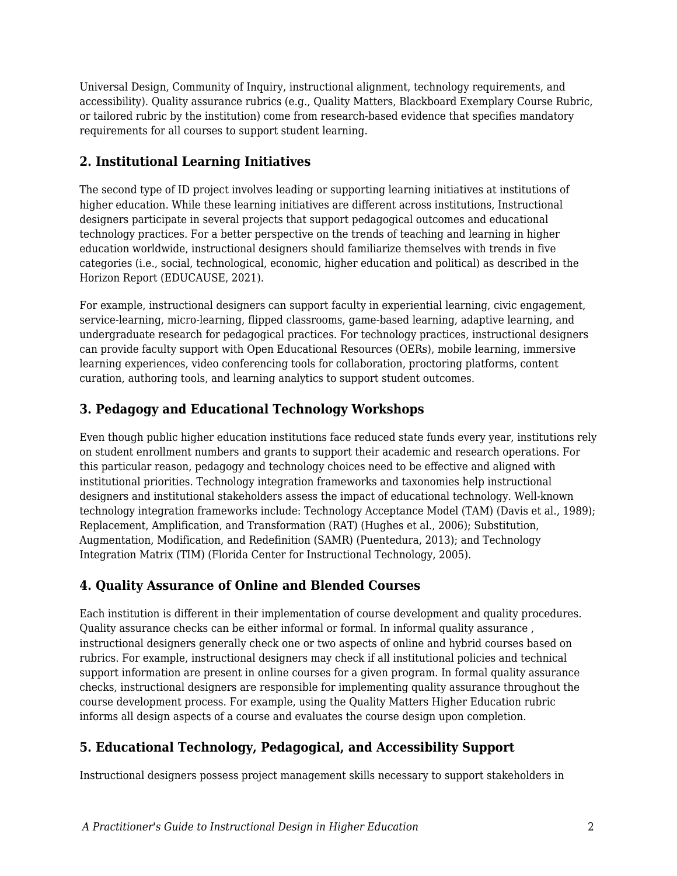Universal Design, Community of Inquiry, instructional alignment, technology requirements, and accessibility). Quality assurance rubrics (e.g., Quality Matters, Blackboard Exemplary Course Rubric, or tailored rubric by the institution) come from research-based evidence that specifies mandatory requirements for all courses to support student learning.

#### **2. Institutional Learning Initiatives**

The second type of ID project involves leading or supporting learning initiatives at institutions of higher education. While these learning initiatives are different across institutions, Instructional designers participate in several projects that support pedagogical outcomes and educational technology practices. For a better perspective on the trends of teaching and learning in higher education worldwide, instructional designers should familiarize themselves with trends in five categories (i.e., social, technological, economic, higher education and political) as described in the Horizon Report (EDUCAUSE, 2021).

For example, instructional designers can support faculty in experiential learning, civic engagement, service-learning, micro-learning, flipped classrooms, game-based learning, adaptive learning, and undergraduate research for pedagogical practices. For technology practices, instructional designers can provide faculty support with Open Educational Resources (OERs), mobile learning, immersive learning experiences, video conferencing tools for collaboration, proctoring platforms, content curation, authoring tools, and learning analytics to support student outcomes.

#### **3. Pedagogy and Educational Technology Workshops**

Even though public higher education institutions face reduced state funds every year, institutions rely on student enrollment numbers and grants to support their academic and research operations. For this particular reason, pedagogy and technology choices need to be effective and aligned with institutional priorities. Technology integration frameworks and taxonomies help instructional designers and institutional stakeholders assess the impact of educational technology. Well-known technology integration frameworks include: Technology Acceptance Model (TAM) (Davis et al., 1989); Replacement, Amplification, and Transformation (RAT) (Hughes et al., 2006); Substitution, Augmentation, Modification, and Redefinition (SAMR) (Puentedura, 2013); and Technology Integration Matrix (TIM) (Florida Center for Instructional Technology, 2005).

#### **4. Quality Assurance of Online and Blended Courses**

Each institution is different in their implementation of course development and quality procedures. Quality assurance checks can be either informal or formal. In informal quality assurance , instructional designers generally check one or two aspects of online and hybrid courses based on rubrics. For example, instructional designers may check if all institutional policies and technical support information are present in online courses for a given program. In formal quality assurance checks, instructional designers are responsible for implementing quality assurance throughout the course development process. For example, using the Quality Matters Higher Education rubric informs all design aspects of a course and evaluates the course design upon completion.

#### **5. Educational Technology, Pedagogical, and Accessibility Support**

Instructional designers possess project management skills necessary to support stakeholders in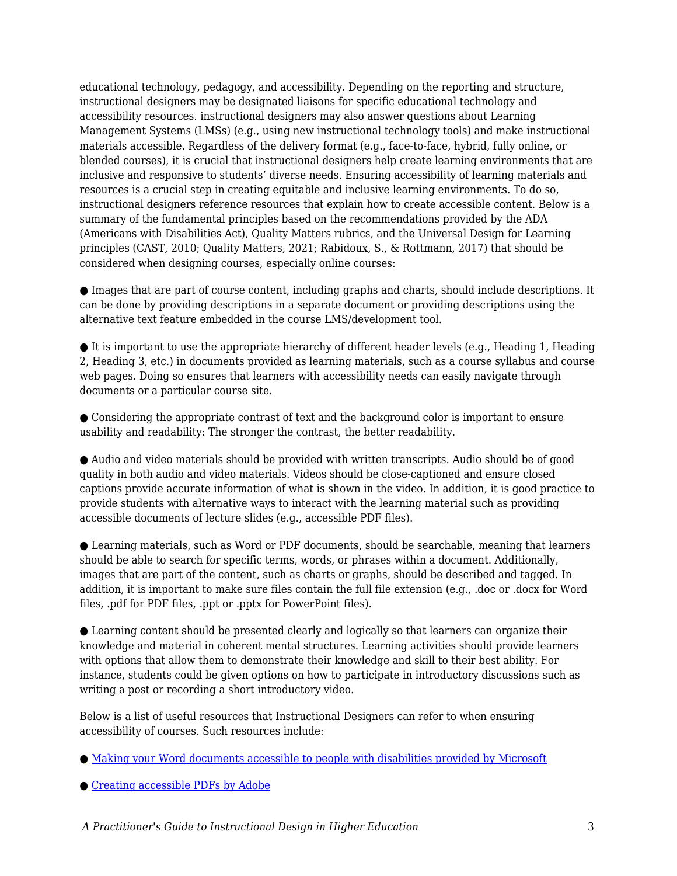educational technology, pedagogy, and accessibility. Depending on the reporting and structure, instructional designers may be designated liaisons for specific educational technology and accessibility resources. instructional designers may also answer questions about Learning Management Systems (LMSs) (e.g., using new instructional technology tools) and make instructional materials accessible. Regardless of the delivery format (e.g., face-to-face, hybrid, fully online, or blended courses), it is crucial that instructional designers help create learning environments that are inclusive and responsive to students' diverse needs. Ensuring accessibility of learning materials and resources is a crucial step in creating equitable and inclusive learning environments. To do so, instructional designers reference resources that explain how to create accessible content. Below is a summary of the fundamental principles based on the recommendations provided by the ADA (Americans with Disabilities Act), Quality Matters rubrics, and the Universal Design for Learning principles (CAST, 2010; Quality Matters, 2021; Rabidoux, S., & Rottmann, 2017) that should be considered when designing courses, especially online courses:

● Images that are part of course content, including graphs and charts, should include descriptions. It can be done by providing descriptions in a separate document or providing descriptions using the alternative text feature embedded in the course LMS/development tool.

 $\bullet$  It is important to use the appropriate hierarchy of different header levels (e.g., Heading 1, Heading 2, Heading 3, etc.) in documents provided as learning materials, such as a course syllabus and course web pages. Doing so ensures that learners with accessibility needs can easily navigate through documents or a particular course site.

● Considering the appropriate contrast of text and the background color is important to ensure usability and readability: The stronger the contrast, the better readability.

● Audio and video materials should be provided with written transcripts. Audio should be of good quality in both audio and video materials. Videos should be close-captioned and ensure closed captions provide accurate information of what is shown in the video. In addition, it is good practice to provide students with alternative ways to interact with the learning material such as providing accessible documents of lecture slides (e.g., accessible PDF files).

● Learning materials, such as Word or PDF documents, should be searchable, meaning that learners should be able to search for specific terms, words, or phrases within a document. Additionally, images that are part of the content, such as charts or graphs, should be described and tagged. In addition, it is important to make sure files contain the full file extension (e.g., .doc or .docx for Word files, .pdf for PDF files, .ppt or .pptx for PowerPoint files).

● Learning content should be presented clearly and logically so that learners can organize their knowledge and material in coherent mental structures. Learning activities should provide learners with options that allow them to demonstrate their knowledge and skill to their best ability. For instance, students could be given options on how to participate in introductory discussions such as writing a post or recording a short introductory video.

Below is a list of useful resources that Instructional Designers can refer to when ensuring accessibility of courses. Such resources include:

● [Making your Word documents accessible to people with disabilities provided by Microsoft](http://bit.ly/3ux0pO2)

● [Creating accessible PDFs by Adobe](http://adobe.ly/37Cgd8k)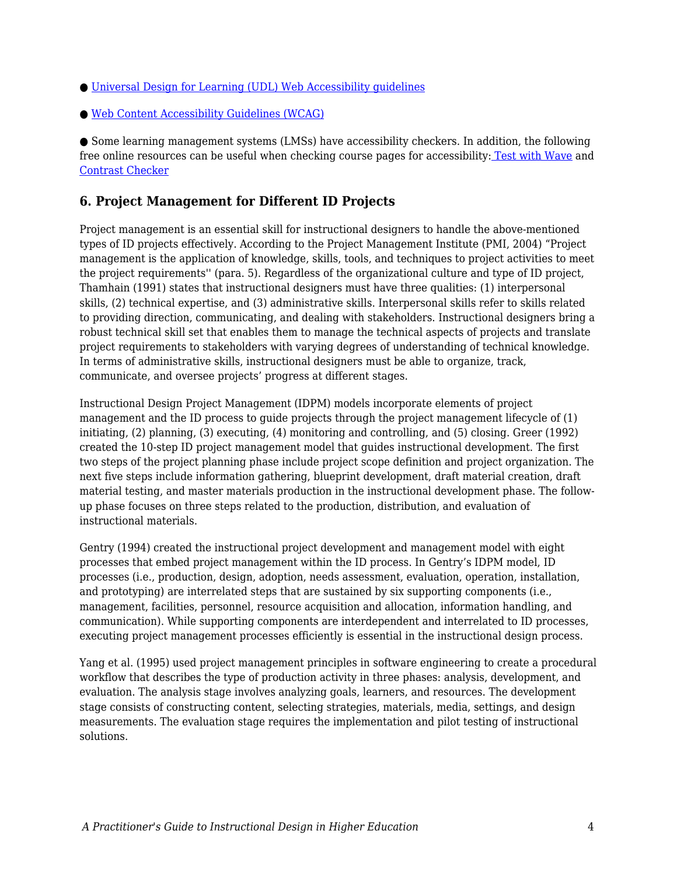- [Universal Design for Learning \(UDL\) Web Accessibility guidelines](http://bit.ly/37xCunJ)
- [Web Content Accessibility Guidelines \(WCAG\)](https://www.w3.org/WAI/standards-guidelines/wcag)

● Some learning management systems (LMSs) have accessibility checkers. In addition, the following free online resources can be useful when checking course pages for accessibility: [Test with Wave](https://webaim.org/resources/evalquickref/#wave) and [Contrast Checker](https://webaim.org/resources/contrastchecker/)

#### **6. Project Management for Different ID Projects**

Project management is an essential skill for instructional designers to handle the above-mentioned types of ID projects effectively. According to the Project Management Institute (PMI, 2004) "Project management is the application of knowledge, skills, tools, and techniques to project activities to meet the project requirements'' (para. 5). Regardless of the organizational culture and type of ID project, Thamhain (1991) states that instructional designers must have three qualities: (1) interpersonal skills, (2) technical expertise, and (3) administrative skills. Interpersonal skills refer to skills related to providing direction, communicating, and dealing with stakeholders. Instructional designers bring a robust technical skill set that enables them to manage the technical aspects of projects and translate project requirements to stakeholders with varying degrees of understanding of technical knowledge. In terms of administrative skills, instructional designers must be able to organize, track, communicate, and oversee projects' progress at different stages.

Instructional Design Project Management (IDPM) models incorporate elements of project management and the ID process to guide projects through the project management lifecycle of (1) initiating, (2) planning, (3) executing, (4) monitoring and controlling, and (5) closing. Greer (1992) created the 10-step ID project management model that guides instructional development. The first two steps of the project planning phase include project scope definition and project organization. The next five steps include information gathering, blueprint development, draft material creation, draft material testing, and master materials production in the instructional development phase. The followup phase focuses on three steps related to the production, distribution, and evaluation of instructional materials.

Gentry (1994) created the instructional project development and management model with eight processes that embed project management within the ID process. In Gentry's IDPM model, ID processes (i.e., production, design, adoption, needs assessment, evaluation, operation, installation, and prototyping) are interrelated steps that are sustained by six supporting components (i.e., management, facilities, personnel, resource acquisition and allocation, information handling, and communication). While supporting components are interdependent and interrelated to ID processes, executing project management processes efficiently is essential in the instructional design process.

Yang et al. (1995) used project management principles in software engineering to create a procedural workflow that describes the type of production activity in three phases: analysis, development, and evaluation. The analysis stage involves analyzing goals, learners, and resources. The development stage consists of constructing content, selecting strategies, materials, media, settings, and design measurements. The evaluation stage requires the implementation and pilot testing of instructional solutions.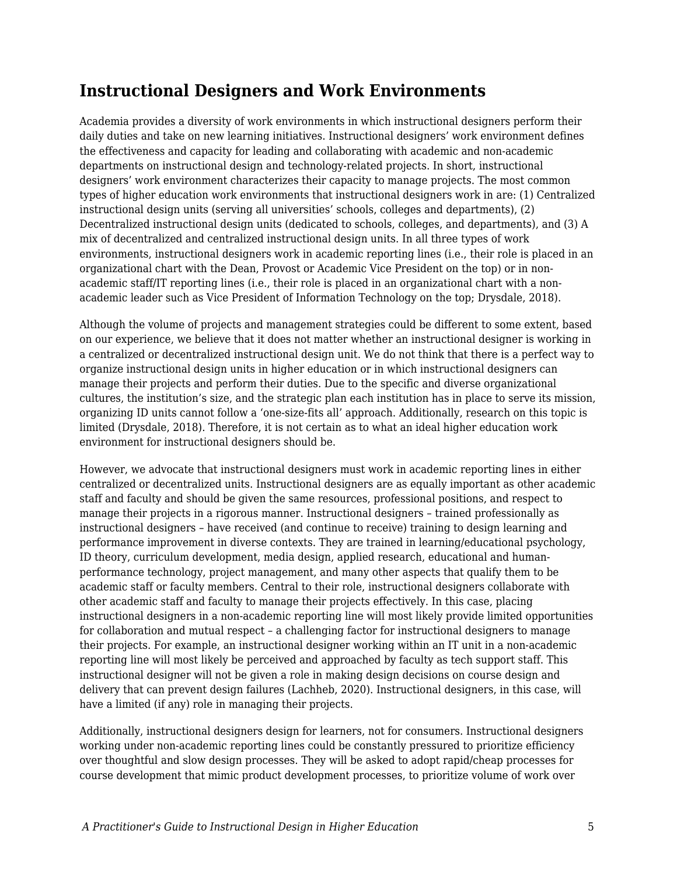### **Instructional Designers and Work Environments**

Academia provides a diversity of work environments in which instructional designers perform their daily duties and take on new learning initiatives. Instructional designers' work environment defines the effectiveness and capacity for leading and collaborating with academic and non-academic departments on instructional design and technology-related projects. In short, instructional designers' work environment characterizes their capacity to manage projects. The most common types of higher education work environments that instructional designers work in are: (1) Centralized instructional design units (serving all universities' schools, colleges and departments), (2) Decentralized instructional design units (dedicated to schools, colleges, and departments), and (3) A mix of decentralized and centralized instructional design units. In all three types of work environments, instructional designers work in academic reporting lines (i.e., their role is placed in an organizational chart with the Dean, Provost or Academic Vice President on the top) or in nonacademic staff/IT reporting lines (i.e., their role is placed in an organizational chart with a nonacademic leader such as Vice President of Information Technology on the top; Drysdale, 2018).

Although the volume of projects and management strategies could be different to some extent, based on our experience, we believe that it does not matter whether an instructional designer is working in a centralized or decentralized instructional design unit. We do not think that there is a perfect way to organize instructional design units in higher education or in which instructional designers can manage their projects and perform their duties. Due to the specific and diverse organizational cultures, the institution's size, and the strategic plan each institution has in place to serve its mission, organizing ID units cannot follow a 'one-size-fits all' approach. Additionally, research on this topic is limited (Drysdale, 2018). Therefore, it is not certain as to what an ideal higher education work environment for instructional designers should be.

However, we advocate that instructional designers must work in academic reporting lines in either centralized or decentralized units. Instructional designers are as equally important as other academic staff and faculty and should be given the same resources, professional positions, and respect to manage their projects in a rigorous manner. Instructional designers – trained professionally as instructional designers – have received (and continue to receive) training to design learning and performance improvement in diverse contexts. They are trained in learning/educational psychology, ID theory, curriculum development, media design, applied research, educational and humanperformance technology, project management, and many other aspects that qualify them to be academic staff or faculty members. Central to their role, instructional designers collaborate with other academic staff and faculty to manage their projects effectively. In this case, placing instructional designers in a non-academic reporting line will most likely provide limited opportunities for collaboration and mutual respect – a challenging factor for instructional designers to manage their projects. For example, an instructional designer working within an IT unit in a non-academic reporting line will most likely be perceived and approached by faculty as tech support staff. This instructional designer will not be given a role in making design decisions on course design and delivery that can prevent design failures (Lachheb, 2020). Instructional designers, in this case, will have a limited (if any) role in managing their projects.

Additionally, instructional designers design for learners, not for consumers. Instructional designers working under non-academic reporting lines could be constantly pressured to prioritize efficiency over thoughtful and slow design processes. They will be asked to adopt rapid/cheap processes for course development that mimic product development processes, to prioritize volume of work over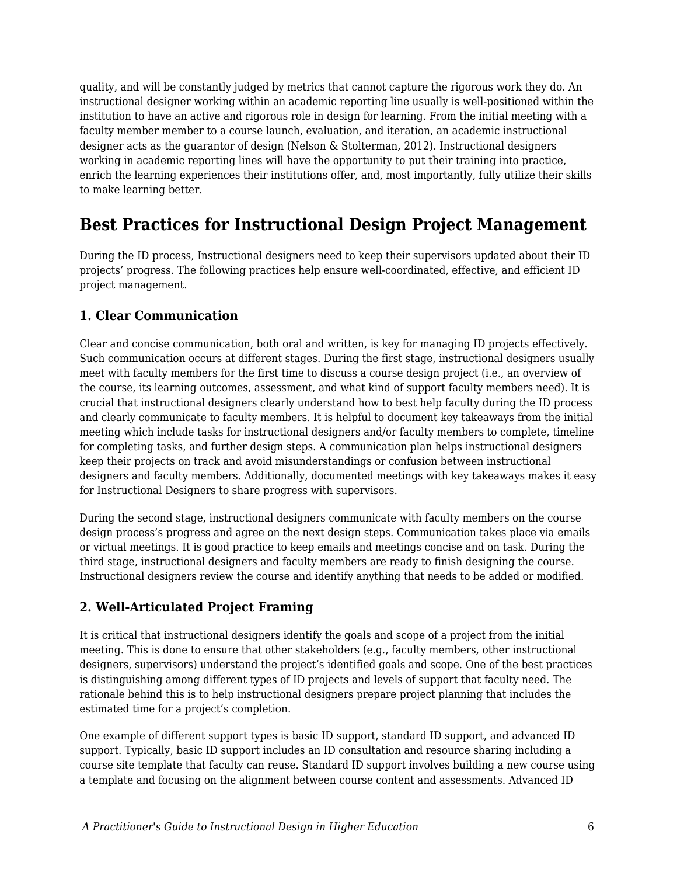quality, and will be constantly judged by metrics that cannot capture the rigorous work they do. An instructional designer working within an academic reporting line usually is well-positioned within the institution to have an active and rigorous role in design for learning. From the initial meeting with a faculty member member to a course launch, evaluation, and iteration, an academic instructional designer acts as the guarantor of design (Nelson & Stolterman, 2012). Instructional designers working in academic reporting lines will have the opportunity to put their training into practice, enrich the learning experiences their institutions offer, and, most importantly, fully utilize their skills to make learning better.

### **Best Practices for Instructional Design Project Management**

During the ID process, Instructional designers need to keep their supervisors updated about their ID projects' progress. The following practices help ensure well-coordinated, effective, and efficient ID project management.

#### **1. Clear Communication**

Clear and concise communication, both oral and written, is key for managing ID projects effectively. Such communication occurs at different stages. During the first stage, instructional designers usually meet with faculty members for the first time to discuss a course design project (i.e., an overview of the course, its learning outcomes, assessment, and what kind of support faculty members need). It is crucial that instructional designers clearly understand how to best help faculty during the ID process and clearly communicate to faculty members. It is helpful to document key takeaways from the initial meeting which include tasks for instructional designers and/or faculty members to complete, timeline for completing tasks, and further design steps. A communication plan helps instructional designers keep their projects on track and avoid misunderstandings or confusion between instructional designers and faculty members. Additionally, documented meetings with key takeaways makes it easy for Instructional Designers to share progress with supervisors.

During the second stage, instructional designers communicate with faculty members on the course design process's progress and agree on the next design steps. Communication takes place via emails or virtual meetings. It is good practice to keep emails and meetings concise and on task. During the third stage, instructional designers and faculty members are ready to finish designing the course. Instructional designers review the course and identify anything that needs to be added or modified.

#### **2. Well-Articulated Project Framing**

It is critical that instructional designers identify the goals and scope of a project from the initial meeting. This is done to ensure that other stakeholders (e.g., faculty members, other instructional designers, supervisors) understand the project's identified goals and scope. One of the best practices is distinguishing among different types of ID projects and levels of support that faculty need. The rationale behind this is to help instructional designers prepare project planning that includes the estimated time for a project's completion.

One example of different support types is basic ID support, standard ID support, and advanced ID support. Typically, basic ID support includes an ID consultation and resource sharing including a course site template that faculty can reuse. Standard ID support involves building a new course using a template and focusing on the alignment between course content and assessments. Advanced ID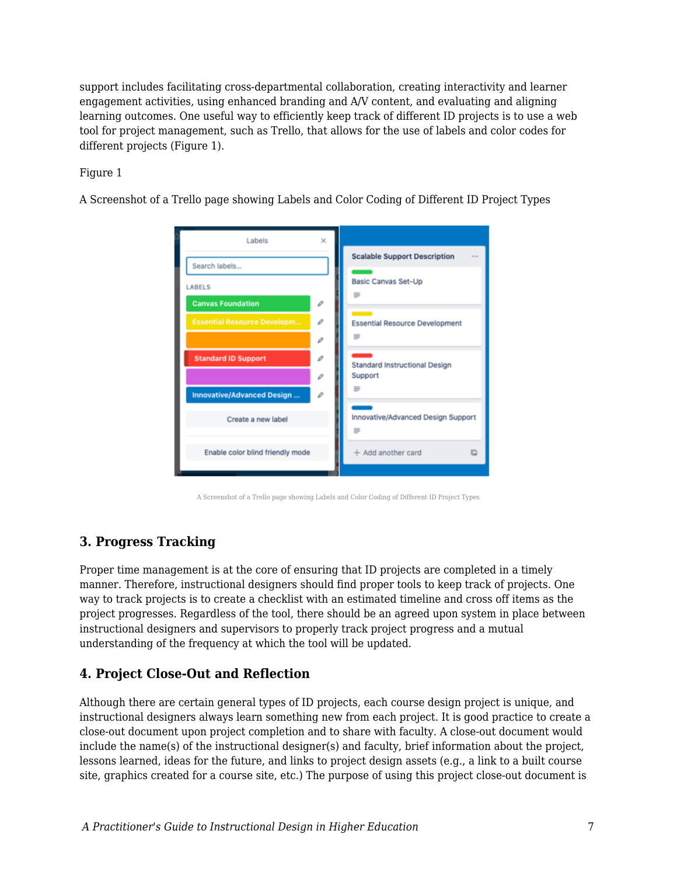support includes facilitating cross-departmental collaboration, creating interactivity and learner engagement activities, using enhanced branding and A/V content, and evaluating and aligning learning outcomes. One useful way to efficiently keep track of different ID projects is to use a web tool for project management, such as Trello, that allows for the use of labels and color codes for different projects (Figure 1).

#### Figure 1

A Screenshot of a Trello page showing Labels and Color Coding of Different ID Project Types

| Labels                             | ×            |                                         |
|------------------------------------|--------------|-----------------------------------------|
| Search labels                      |              | <b>Scalable Support Description</b><br> |
| LABELS                             |              | Basic Canvas Set-Up<br>≡                |
| <b>Canvas Foundation</b>           | o            |                                         |
| <b>Essential Resource Developm</b> | í            | <b>Essential Resource Development</b>   |
|                                    | $\mathcal O$ | $=$                                     |
| <b>Standard ID Support</b>         | D            | Standard Instructional Design           |
|                                    | D            | Support                                 |
| <b>Innovative/Advanced Design</b>  | v            |                                         |
| Create a new label                 |              | Innovative/Advanced Design Support<br>≡ |
| Enable color blind friendly mode   |              | + Add another card                      |
|                                    |              |                                         |

A Screenshot of a Trello page showing Labels and Color Coding of Different ID Project Types

### **3. Progress Tracking**

Proper time management is at the core of ensuring that ID projects are completed in a timely manner. Therefore, instructional designers should find proper tools to keep track of projects. One way to track projects is to create a checklist with an estimated timeline and cross off items as the project progresses. Regardless of the tool, there should be an agreed upon system in place between instructional designers and supervisors to properly track project progress and a mutual understanding of the frequency at which the tool will be updated.

#### **4. Project Close-Out and Reflection**

Although there are certain general types of ID projects, each course design project is unique, and instructional designers always learn something new from each project. It is good practice to create a close-out document upon project completion and to share with faculty. A close-out document would include the name(s) of the instructional designer(s) and faculty, brief information about the project, lessons learned, ideas for the future, and links to project design assets (e.g., a link to a built course site, graphics created for a course site, etc.) The purpose of using this project close-out document is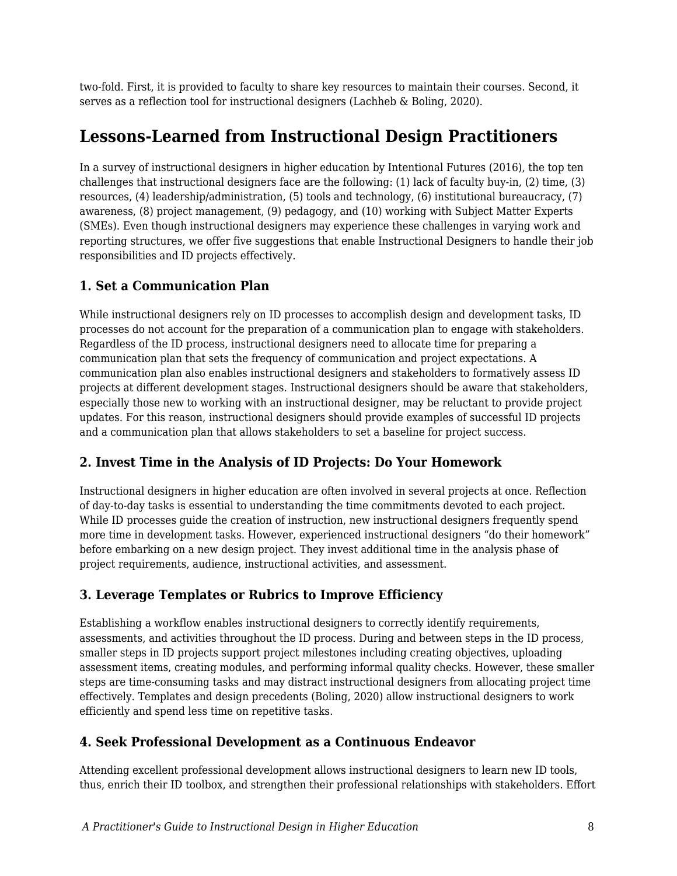two-fold. First, it is provided to faculty to share key resources to maintain their courses. Second, it serves as a reflection tool for instructional designers (Lachheb & Boling, 2020).

## **Lessons-Learned from Instructional Design Practitioners**

In a survey of instructional designers in higher education by Intentional Futures (2016), the top ten challenges that instructional designers face are the following: (1) lack of faculty buy-in, (2) time, (3) resources, (4) leadership/administration, (5) tools and technology, (6) institutional bureaucracy, (7) awareness, (8) project management, (9) pedagogy, and (10) working with Subject Matter Experts (SMEs). Even though instructional designers may experience these challenges in varying work and reporting structures, we offer five suggestions that enable Instructional Designers to handle their job responsibilities and ID projects effectively.

#### **1. Set a Communication Plan**

While instructional designers rely on ID processes to accomplish design and development tasks, ID processes do not account for the preparation of a communication plan to engage with stakeholders. Regardless of the ID process, instructional designers need to allocate time for preparing a communication plan that sets the frequency of communication and project expectations. A communication plan also enables instructional designers and stakeholders to formatively assess ID projects at different development stages. Instructional designers should be aware that stakeholders, especially those new to working with an instructional designer, may be reluctant to provide project updates. For this reason, instructional designers should provide examples of successful ID projects and a communication plan that allows stakeholders to set a baseline for project success.

### **2. Invest Time in the Analysis of ID Projects: Do Your Homework**

Instructional designers in higher education are often involved in several projects at once. Reflection of day-to-day tasks is essential to understanding the time commitments devoted to each project. While ID processes guide the creation of instruction, new instructional designers frequently spend more time in development tasks. However, experienced instructional designers "do their homework" before embarking on a new design project. They invest additional time in the analysis phase of project requirements, audience, instructional activities, and assessment.

### **3. Leverage Templates or Rubrics to Improve Efficiency**

Establishing a workflow enables instructional designers to correctly identify requirements, assessments, and activities throughout the ID process. During and between steps in the ID process, smaller steps in ID projects support project milestones including creating objectives, uploading assessment items, creating modules, and performing informal quality checks. However, these smaller steps are time-consuming tasks and may distract instructional designers from allocating project time effectively. Templates and design precedents (Boling, 2020) allow instructional designers to work efficiently and spend less time on repetitive tasks.

#### **4. Seek Professional Development as a Continuous Endeavor**

Attending excellent professional development allows instructional designers to learn new ID tools, thus, enrich their ID toolbox, and strengthen their professional relationships with stakeholders. Effort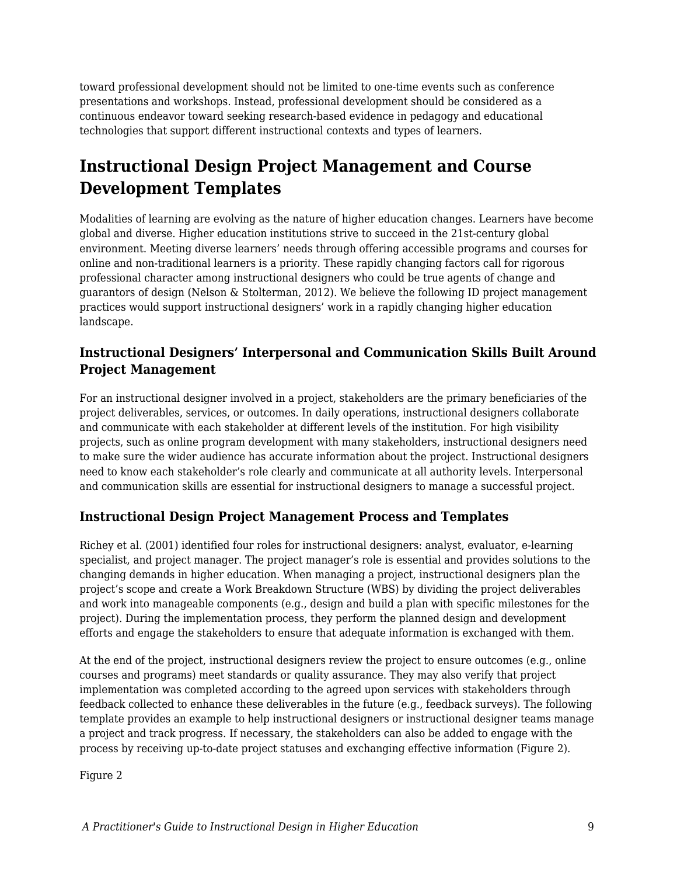toward professional development should not be limited to one-time events such as conference presentations and workshops. Instead, professional development should be considered as a continuous endeavor toward seeking research-based evidence in pedagogy and educational technologies that support different instructional contexts and types of learners.

# **Instructional Design Project Management and Course Development Templates**

Modalities of learning are evolving as the nature of higher education changes. Learners have become global and diverse. Higher education institutions strive to succeed in the 21st-century global environment. Meeting diverse learners' needs through offering accessible programs and courses for online and non-traditional learners is a priority. These rapidly changing factors call for rigorous professional character among instructional designers who could be true agents of change and guarantors of design (Nelson & Stolterman, 2012). We believe the following ID project management practices would support instructional designers' work in a rapidly changing higher education landscape.

#### **Instructional Designers' Interpersonal and Communication Skills Built Around Project Management**

For an instructional designer involved in a project, stakeholders are the primary beneficiaries of the project deliverables, services, or outcomes. In daily operations, instructional designers collaborate and communicate with each stakeholder at different levels of the institution. For high visibility projects, such as online program development with many stakeholders, instructional designers need to make sure the wider audience has accurate information about the project. Instructional designers need to know each stakeholder's role clearly and communicate at all authority levels. Interpersonal and communication skills are essential for instructional designers to manage a successful project.

#### **Instructional Design Project Management Process and Templates**

Richey et al. (2001) identified four roles for instructional designers: analyst, evaluator, e-learning specialist, and project manager. The project manager's role is essential and provides solutions to the changing demands in higher education. When managing a project, instructional designers plan the project's scope and create a Work Breakdown Structure (WBS) by dividing the project deliverables and work into manageable components (e.g., design and build a plan with specific milestones for the project). During the implementation process, they perform the planned design and development efforts and engage the stakeholders to ensure that adequate information is exchanged with them.

At the end of the project, instructional designers review the project to ensure outcomes (e.g., online courses and programs) meet standards or quality assurance. They may also verify that project implementation was completed according to the agreed upon services with stakeholders through feedback collected to enhance these deliverables in the future (e.g., feedback surveys). The following template provides an example to help instructional designers or instructional designer teams manage a project and track progress. If necessary, the stakeholders can also be added to engage with the process by receiving up-to-date project statuses and exchanging effective information (Figure 2).

Figure 2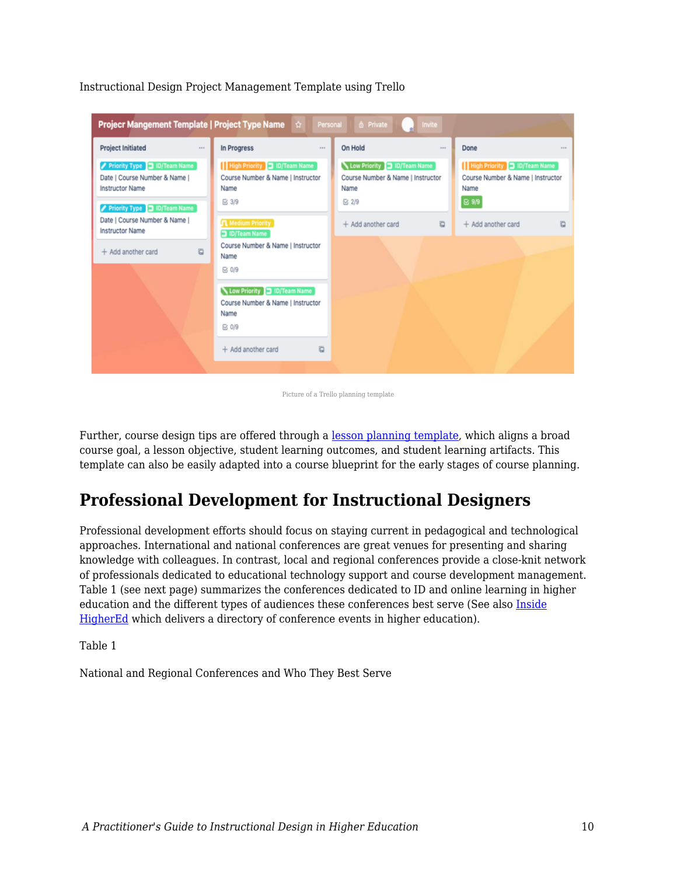| <b>Project Initiated</b><br>111                                                         | In Progress<br>$\cdots$                                                         | On Hold                                                                 | 1111 | Done                                                                      | <b>STATE</b> |
|-----------------------------------------------------------------------------------------|---------------------------------------------------------------------------------|-------------------------------------------------------------------------|------|---------------------------------------------------------------------------|--------------|
| Priority Type 1D/Team Name<br>Date   Course Number & Name  <br><b>Instructor Name</b>   | High Priority   ID/Team Name<br>Course Number & Name   Instructor<br>Name       | Low Priority   D/Team Name<br>Course Number & Name   Instructor<br>Name |      | High Priority   ID/Team Name<br>Course Number & Name   Instructor<br>Name |              |
| Priority Type 1 ID/Team Name<br>Date   Course Number & Name  <br><b>Instructor Name</b> | ⊠ 3/9<br>Medium Priority<br>D/Team Name                                         | ■ 2/9<br>+ Add another card                                             | a    | 68.99<br>+ Add another card                                               | $\ddot{a}$   |
| $\ddot{a}$<br>+ Add another card                                                        | Course Number & Name   Instructor<br>Name<br>⊠ 0/9                              |                                                                         |      |                                                                           |              |
|                                                                                         | Low Priority 1D/Team Name<br>Course Number & Name   Instructor<br>Name<br>⊠ 0/9 |                                                                         |      |                                                                           |              |
|                                                                                         | $\ddot{a}$<br>$+$ Add another card                                              |                                                                         |      |                                                                           |              |

Instructional Design Project Management Template using Trello

Picture of a Trello planning template

Further, course design tips are offered through a [lesson planning template,](https://drive.google.com/file/d/1V6ZtKqqgYuDyUiI-aD3o9YG-lZQZ1yqE/view?usp=sharing) which aligns a broad course goal, a lesson objective, student learning outcomes, and student learning artifacts. This template can also be easily adapted into a course blueprint for the early stages of course planning.

### **Professional Development for Instructional Designers**

Professional development efforts should focus on staying current in pedagogical and technological approaches. International and national conferences are great venues for presenting and sharing knowledge with colleagues. In contrast, local and regional conferences provide a close-knit network of professionals dedicated to educational technology support and course development management. Table 1 (see next page) summarizes the conferences dedicated to ID and online learning in higher education and the different types of audiences these conferences best serve (See also [Inside](https://www.insidehighered.com/events_people) [HigherEd](https://www.insidehighered.com/events_people) which delivers a directory of conference events in higher education).

Table 1

National and Regional Conferences and Who They Best Serve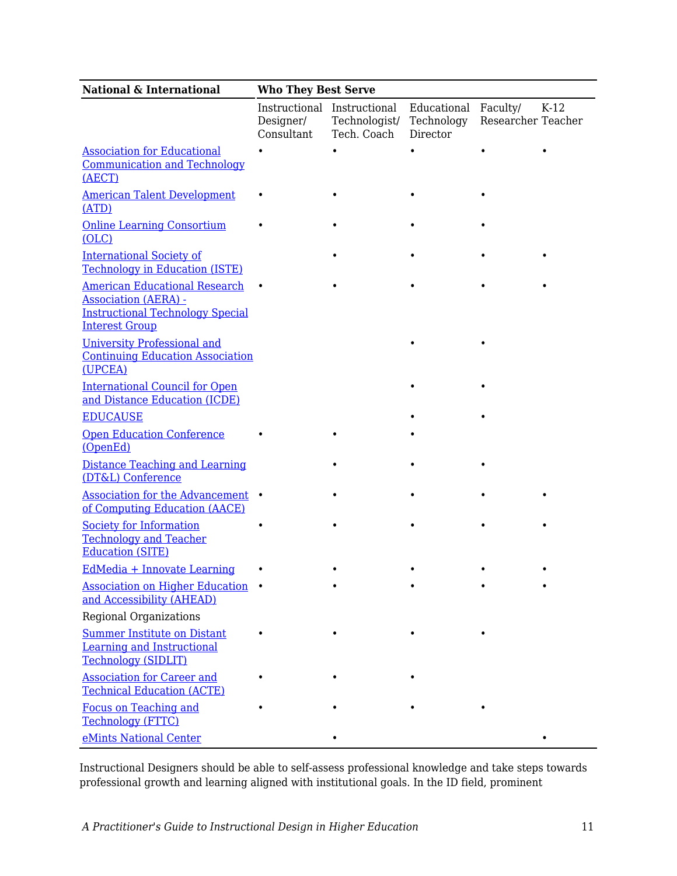| <b>National &amp; International</b>                                                                                                     | <b>Who They Best Serve</b> |                                                             |                                       |                                |        |  |
|-----------------------------------------------------------------------------------------------------------------------------------------|----------------------------|-------------------------------------------------------------|---------------------------------------|--------------------------------|--------|--|
|                                                                                                                                         | Designer/<br>Consultant    | Instructional Instructional<br>Technologist/<br>Tech. Coach | Educational<br>Technology<br>Director | Faculty/<br>Researcher Teacher | $K-12$ |  |
| <b>Association for Educational</b><br><b>Communication and Technology</b><br>(AECT)                                                     |                            |                                                             | ٠                                     |                                |        |  |
| <b>American Talent Development</b><br>(ATD)                                                                                             |                            |                                                             |                                       |                                |        |  |
| <b>Online Learning Consortium</b><br>(OLC)                                                                                              |                            |                                                             |                                       |                                |        |  |
| <b>International Society of</b><br><b>Technology in Education (ISTE)</b>                                                                |                            |                                                             |                                       |                                |        |  |
| <b>American Educational Research</b><br><b>Association (AERA) -</b><br><b>Instructional Technology Special</b><br><b>Interest Group</b> |                            |                                                             |                                       |                                |        |  |
| <b>University Professional and</b><br><b>Continuing Education Association</b><br>(UPCEA)                                                |                            |                                                             |                                       |                                |        |  |
| <b>International Council for Open</b><br>and Distance Education (ICDE)                                                                  |                            |                                                             |                                       |                                |        |  |
| <b>EDUCAUSE</b>                                                                                                                         |                            |                                                             |                                       |                                |        |  |
| <b>Open Education Conference</b><br>(OpenEd)                                                                                            |                            |                                                             |                                       |                                |        |  |
| Distance Teaching and Learning<br>(DT&L) Conference                                                                                     |                            |                                                             |                                       |                                |        |  |
| <b>Association for the Advancement</b><br>of Computing Education (AACE)                                                                 |                            |                                                             |                                       |                                |        |  |
| <b>Society for Information</b><br><b>Technology and Teacher</b><br><b>Education (SITE)</b>                                              |                            |                                                             |                                       |                                |        |  |
| EdMedia + Innovate Learning                                                                                                             |                            |                                                             |                                       |                                |        |  |
| <b>Association on Higher Education</b><br>and Accessibility (AHEAD)                                                                     |                            |                                                             |                                       |                                |        |  |
| <b>Regional Organizations</b>                                                                                                           |                            |                                                             |                                       |                                |        |  |
| <b>Summer Institute on Distant</b><br><b>Learning and Instructional</b><br><b>Technology (SIDLIT)</b>                                   |                            |                                                             |                                       |                                |        |  |
| <b>Association for Career and</b><br><b>Technical Education (ACTE)</b>                                                                  |                            |                                                             |                                       |                                |        |  |
| <b>Focus on Teaching and</b><br><b>Technology (FTTC)</b>                                                                                |                            |                                                             |                                       |                                |        |  |
| eMints National Center                                                                                                                  |                            |                                                             |                                       |                                |        |  |

Instructional Designers should be able to self-assess professional knowledge and take steps towards professional growth and learning aligned with institutional goals. In the ID field, prominent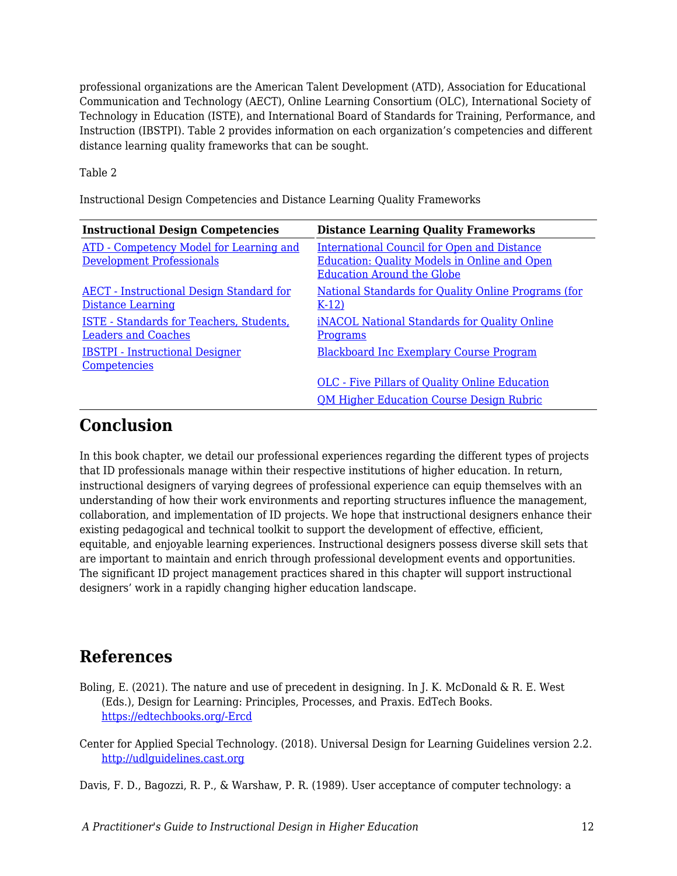professional organizations are the American Talent Development (ATD), Association for Educational Communication and Technology (AECT), Online Learning Consortium (OLC), International Society of Technology in Education (ISTE), and International Board of Standards for Training, Performance, and Instruction (IBSTPI). Table 2 provides information on each organization's competencies and different distance learning quality frameworks that can be sought.

Table 2

Instructional Design Competencies and Distance Learning Quality Frameworks

| <b>Instructional Design Competencies</b>                                      | <b>Distance Learning Quality Frameworks</b>                                                                                                    |
|-------------------------------------------------------------------------------|------------------------------------------------------------------------------------------------------------------------------------------------|
| ATD - Competency Model for Learning and<br><b>Development Professionals</b>   | <b>International Council for Open and Distance</b><br><b>Education: Quality Models in Online and Open</b><br><b>Education Around the Globe</b> |
| <b>AECT</b> - Instructional Design Standard for<br>Distance Learning          | National Standards for Quality Online Programs (for<br>$K-12$                                                                                  |
| <b>ISTE - Standards for Teachers, Students,</b><br><b>Leaders and Coaches</b> | <b>iNACOL National Standards for Quality Online</b><br><b>Programs</b>                                                                         |
| <b>IBSTPI - Instructional Designer</b><br>Competencies                        | <b>Blackboard Inc Exemplary Course Program</b>                                                                                                 |
|                                                                               | <b>OLC</b> - Five Pillars of Quality Online Education                                                                                          |
|                                                                               | <b>OM Higher Education Course Design Rubric</b>                                                                                                |

### **Conclusion**

In this book chapter, we detail our professional experiences regarding the different types of projects that ID professionals manage within their respective institutions of higher education. In return, instructional designers of varying degrees of professional experience can equip themselves with an understanding of how their work environments and reporting structures influence the management, collaboration, and implementation of ID projects. We hope that instructional designers enhance their existing pedagogical and technical toolkit to support the development of effective, efficient, equitable, and enjoyable learning experiences. Instructional designers possess diverse skill sets that are important to maintain and enrich through professional development events and opportunities. The significant ID project management practices shared in this chapter will support instructional designers' work in a rapidly changing higher education landscape.

### **References**

- Boling, E. (2021). The nature and use of precedent in designing. In J. K. McDonald & R. E. West (Eds.), Design for Learning: Principles, Processes, and Praxis. EdTech Books. [https://edtechbooks.org/-Ercd](https://edtechbooks.org/id/precedent)
- Center for Applied Special Technology. (2018). Universal Design for Learning Guidelines version 2.2. [http://udlguidelines.cast.org](http://udlguidelines.cast.org/)

Davis, F. D., Bagozzi, R. P., & Warshaw, P. R. (1989). User acceptance of computer technology: a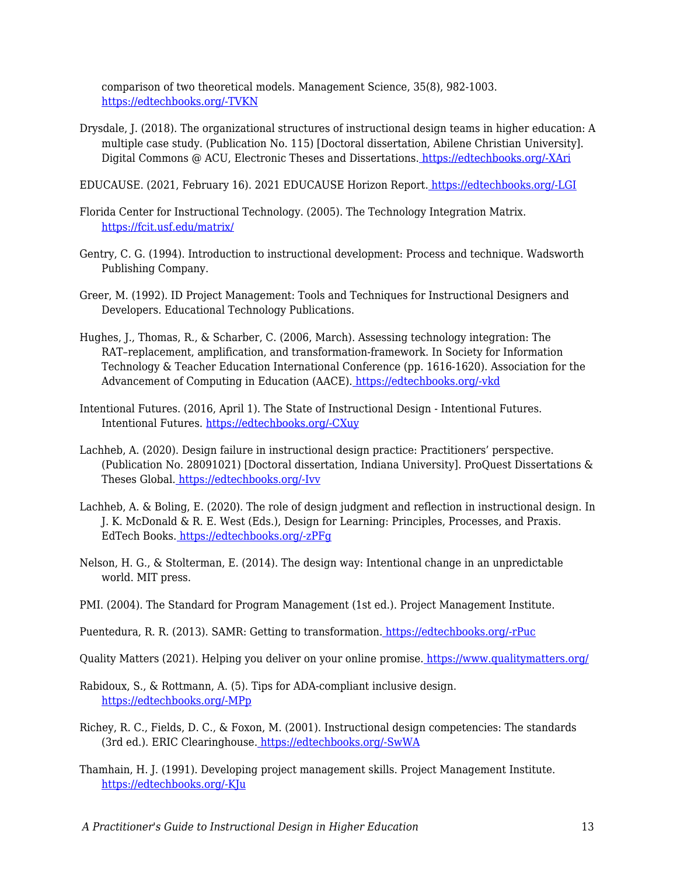comparison of two theoretical models. Management Science, 35(8), 982-1003. [https://edtechbooks.org/-TVKN](https://doi.org/10.1287/mnsc.35.8.982)

Drysdale, J. (2018). The organizational structures of instructional design teams in higher education: A multiple case study. (Publication No. 115) [Doctoral dissertation, Abilene Christian University]. Digital Commons @ ACU, Electronic Theses and Dissertations[.](https://digitalcommons.acu.edu/etd/115/) [https://edtechbooks.org/-XAri](https://digitalcommons.acu.edu/etd/115/)

EDUCAUSE. (2021, February 16). 2021 EDUCAUSE Horizon Report. [https://edtechbooks.org/-LGI](https://library.educause.edu/resources/2021/2/2021-educause-horizon-report-information-security-edition)

- Florida Center for Instructional Technology. (2005). The Technology Integration Matrix. <https://fcit.usf.edu/matrix/>
- Gentry, C. G. (1994). Introduction to instructional development: Process and technique. Wadsworth Publishing Company.
- Greer, M. (1992). ID Project Management: Tools and Techniques for Instructional Designers and Developers. Educational Technology Publications.
- Hughes, J., Thomas, R., & Scharber, C. (2006, March). Assessing technology integration: The RAT–replacement, amplification, and transformation-framework. In Society for Information Technology & Teacher Education International Conference (pp. 1616-1620). Association for the Advancement of Computing in Education (AACE). [https://edtechbooks.org/-vkd](https://www.learntechlib.org/primary/p/22293/)
- Intentional Futures. (2016, April 1). The State of Instructional Design Intentional Futures. Intentional Futures. [https://edtechbooks.org/-CXuy](https://intentionalfutures.com/work/instructional-design/)
- Lachheb, A. (2020). Design failure in instructional design practice: Practitioners' perspective. (Publication No. 28091021) [Doctoral dissertation, Indiana University]. ProQuest Dissertations & Theses Global. [https://edtechbooks.org/-Ivv](https://proxyiub.uits.iu.edu/login?qurl=https%3A%2F%2Fwww.proquest.com%2Fdissertations-theses%2Fdesign-failure-instructional-practice%2Fdocview%2F2445576286%2Fse-2%3Faccountid%3D11620)
- Lachheb, A. & Boling, E. (2020). The role of design judgment and reflection in instructional design. In J. K. McDonald & R. E. West (Eds.), Design for Learning: Principles, Processes, and Praxis. EdTech Books. [https://edtechbooks.org/-zPFg](https://edtechbooks.org/id/design_judgment)
- Nelson, H. G., & Stolterman, E. (2014). The design way: Intentional change in an unpredictable world. MIT press.
- PMI. (2004). The Standard for Program Management (1st ed.). Project Management Institute.
- Puentedura, R. R. (2013). SAMR: Getting to transformation[.](http://www.hippasus.com/rrpweblog/archives/2013/04/16/SAMRGettingToTransformation.pdf) [https://edtechbooks.org/-rPuc](http://www.hippasus.com/rrpweblog/archives/2013/04/16/SAMRGettingToTransformation.pdf)
- Quality Matters (2021). Helping you deliver on your online promise[.](https://www.qualitymatters.org/) <https://www.qualitymatters.org/>

Rabidoux, S., & Rottmann, A. (5). Tips for ADA-compliant inclusive design. [https://edtechbooks.org/-MPp](https://www.insidehighered.com/digital-learning/views/2017/05/03/tips-designing-ada-compliant-online-courses)

- Richey, R. C., Fields, D. C., & Foxon, M. (2001). Instructional design competencies: The standards (3rd ed.). ERIC Clearinghouse. [https://edtechbooks.org/-SwWA](https://eric.ed.gov/?id=ED453803)
- Thamhain, H. J. (1991). Developing project management skills. Project Management Institute. [https://edtechbooks.org/-KJu](https://www.pmi.org/learning/library/learning-leadership-developing-skills-5334)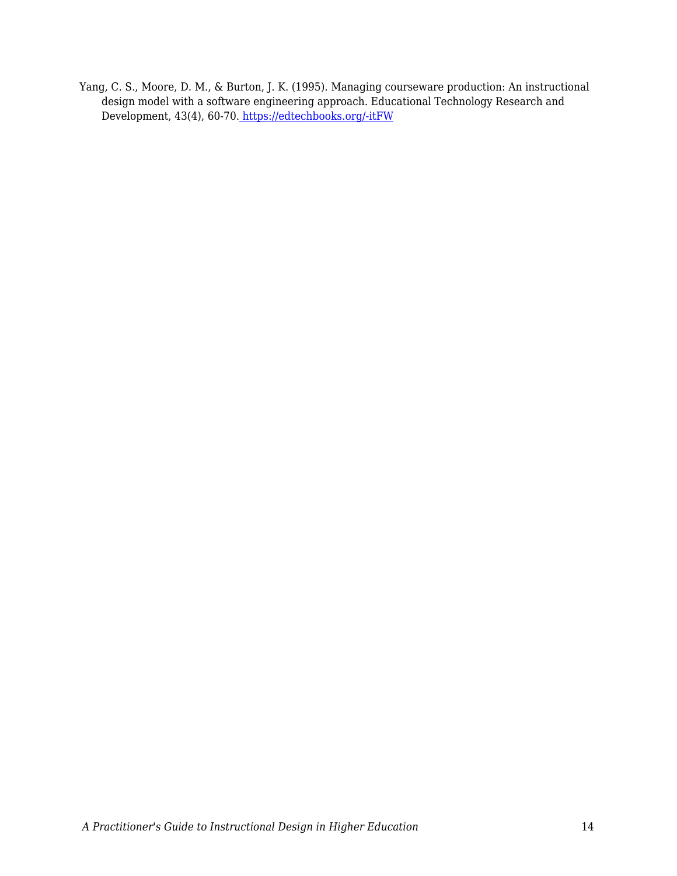Yang, C. S., Moore, D. M., & Burton, J. K. (1995). Managing courseware production: An instructional design model with a software engineering approach. Educational Technology Research and Development, 43(4), 60-70. [https://edtechbooks.org/-itFW](https://doi.org/10.1007/BF02300491)